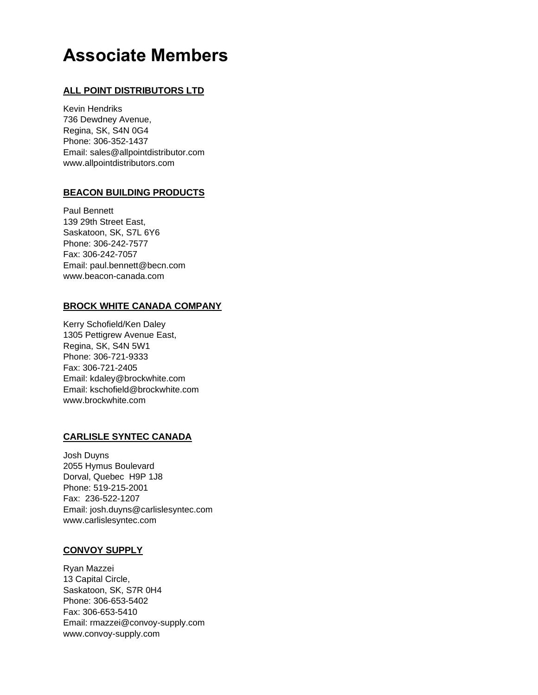# **Associate Members**

## **ALL POINT DISTRIBUTORS LTD**

Kevin Hendriks 736 Dewdney Avenue, Regina, SK, S4N 0G4 Phone: 306-352-1437 Email: [sales@allpointdistributor.com](mailto:kevin.kapcity@sasktel.net) [www.allpointdistributors.com](http://www.allpointdistributors.com/)

## **BEACON BUILDING PRODUCTS**

Paul Bennett 139 29th Street East, Saskatoon, SK, S7L 6Y6 Phone: 306-242-7577 Fax: 306-242-7057 Email: [paul.bennett@becn.com](mailto:lkovitch@enerconroof.com) [www.beacon-canada.com](http://www.enerconroof.com/)

## **BROCK WHITE CANADA COMPANY**

Kerry Schofield/Ken Daley 1305 Pettigrew Avenue East, Regina, SK, S4N 5W1 Phone: 306-721-9333 Fax: 306-721-2405 Email: [kdaley@brockwhite.com](mailto:gengel@brockwhite.com) Email: [kschofield@brockwhite.com](mailto:gengel@brockwhite.com) [www.brockwhite.com](http://www.brockwhite.com/)

## **CARLISLE SYNTEC CANADA**

Josh Duyns 2055 Hymus Boulevard Dorval, Quebec H9P 1J8 Phone: 519-215-2001 Fax: 236-522-1207 Email: josh.duyns@carlislesyntec.com [www.carlislesyntec.com](http://www.convoy-supply.com/)

## **CONVOY SUPPLY**

Ryan Mazzei 13 Capital Circle, Saskatoon, SK, S7R 0H4 Phone: 306-653-5402 Fax: 306-653-5410 Email: [rmazzei@convoy-supply.com](mailto:chris.cameron@convoy-supply.com) [www.convoy-supply.com](http://www.convoy-supply.com/)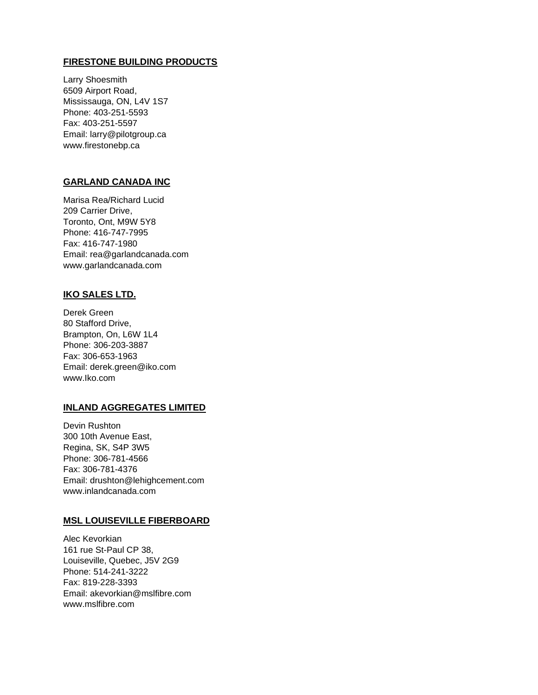## **FIRESTONE BUILDING PRODUCTS**

Larry Shoesmith 6509 Airport Road, Mississauga, ON, L4V 1S7 Phone: 403-251-5593 Fax: 403-251-5597 Email: [larry@pilotgroup.ca](mailto:larry@pilotgroup.ca) www.firestonebp.ca

## **GARLAND CANADA INC**

Marisa Rea/Richard Lucid 209 Carrier Drive, Toronto, Ont, M9W 5Y8 Phone: 416-747-7995 Fax: 416-747-1980 Email: [rea@garlandcanada.com](mailto:rea@garlandcanada.com) [www.garlandcanada.com](http://www.garlandcanada.com/)

## **IKO SALES LTD.**

Derek Green 80 Stafford Drive, Brampton, On, L6W 1L4 Phone: 306-203-3887 Fax: 306-653-1963 Email: [derek.green@iko.com](mailto:Josh.Dewey@IKO.com) [www.Iko.com](http://www.iko.com/)

## **INLAND AGGREGATES LIMITED**

Devin Rushton 300 10th Avenue East, Regina, SK, S4P 3W5 Phone: 306-781-4566 Fax: 306-781-4376 Email: [drushton@lehighcement.com](mailto:drushton@lehighcement.com) [www.inlandcanada.com](http://www.inlandcanada.com/)

## **MSL LOUISEVILLE FIBERBOARD**

Alec Kevorkian 161 rue St-Paul CP 38, Louiseville, Quebec, J5V 2G9 Phone: 514-241-3222 Fax: 819-228-3393 Email: akevorkia[n@mslfibre.com](mailto:kchristiansen@materiauxspecl.com) [www.mslfibre.com](http://www.mslfibre.com/)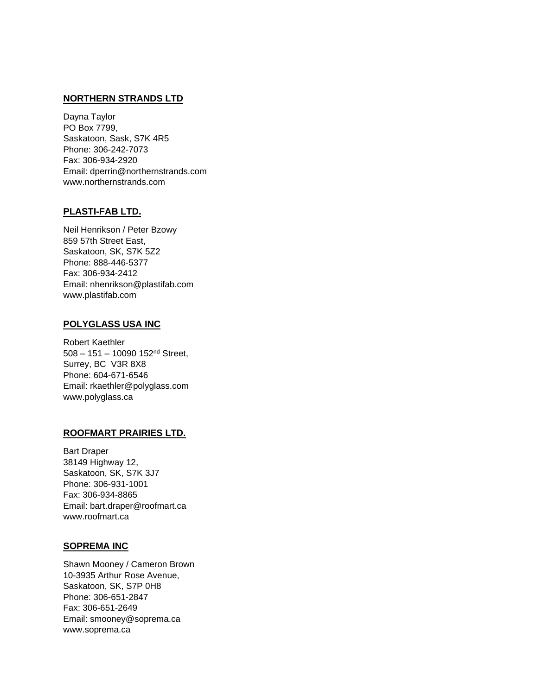## **NORTHERN STRANDS LTD**

Dayna Taylor PO Box 7799, Saskatoon, Sask, S7K 4R5 Phone: 306-242-7073 Fax: 306-934-2920 Email: dperrin@northernstrands.com www.northernstrands.com

## **PLASTI-FAB LTD.**

Neil Henrikson / Peter Bzowy 859 57th Street East, Saskatoon, SK, S7K 5Z2 Phone: 888-446-5377 Fax: 306-934-2412 Email: [nhenrikson@plastifab.com](mailto:nhenrikson@plastifab.com) [www.plastifab.com](http://www.plastifab.com/)

#### **POLYGLASS USA INC**

Robert Kaethler 508 – 151 – 10090 152nd Street, Surrey, BC V3R 8X8 Phone: 604-671-6546 Email: [rkaethler@polyglass.com](mailto:chris.cameron@convoy-supply.com) [www.polyglass.ca](http://www.convoy-supply.com/)

#### **ROOFMART PRAIRIES LTD.**

Bart Draper 38149 Highway 12, Saskatoon, SK, S7K 3J7 Phone: 306-931-1001 Fax: 306-934-8865 Email: [bart.draper@roofmart.ca](mailto:bart.draper@roofmart.ca) [www.roofmart.ca](http://www.roofmart.ca/)

#### **SOPREMA INC**

Shawn Mooney / Cameron Brown 10-3935 Arthur Rose Avenue, Saskatoon, SK, S7P 0H8 Phone: 306-651-2847 Fax: 306-651-2649 Email: smooney@soprema.ca [www.soprema.ca](http://www.soprema.ca/)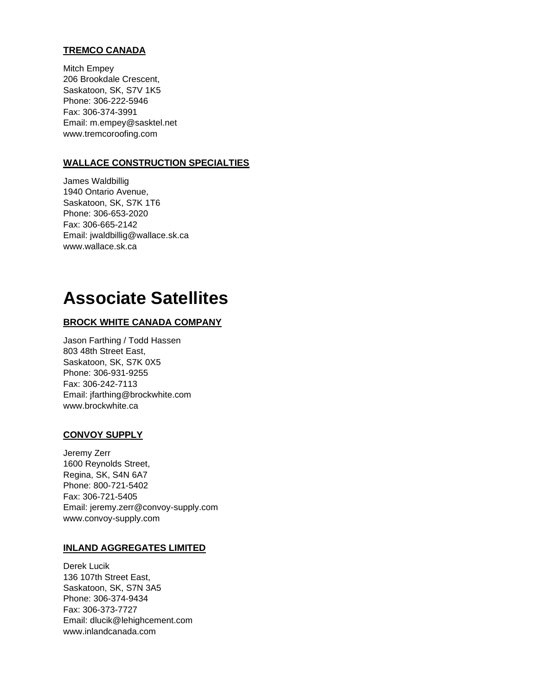## **TREMCO CANADA**

Mitch Empey 206 Brookdale Crescent, Saskatoon, SK, S7V 1K5 Phone: 306-222-5946 Fax: 306-374-3991 Email: [m.empey@sasktel.net](mailto:m.empey@sasktel.net) [www.tremcoroofing.com](http://www.tremcoroofing.com/)

## **WALLACE CONSTRUCTION SPECIALTIES**

James Waldbillig 1940 Ontario Avenue, Saskatoon, SK, S7K 1T6 Phone: 306-653-2020 Fax: 306-665-2142 Email: [jwaldbillig@wallace.sk.ca](mailto:jwaldbillig@wallace.sk.ca) [www.wallace.sk.ca](http://www.wallace.sk.ca/)

## **Associate Satellites**

## **BROCK WHITE CANADA COMPANY**

Jason Farthing / Todd Hassen 803 48th Street East, Saskatoon, SK, S7K 0X5 Phone: 306-931-9255 Fax: 306-242-7113 Email: [jfarthing@brockwhite.com](mailto:jfarthing@brockwhite.com) [www.brockwhite.ca](http://www.brockwhite.ca/)

#### **CONVOY SUPPLY**

Jeremy Zerr 1600 Reynolds Street, Regina, SK, S4N 6A7 Phone: 800-721-5402 Fax: 306-721-5405 Email: [jeremy.zerr@convoy-supply.com](mailto:jeremy.zerr@convoy-supply.com) [www.convoy-supply.com](http://www.convoy-supply.com/)

## **INLAND AGGREGATES LIMITED**

Derek Lucik 136 107th Street East, Saskatoon, SK, S7N 3A5 Phone: 306-374-9434 Fax: 306-373-7727 Email: [dlucik@lehighcement.com](mailto:dlucik@lehighcement.com) [www.inlandcanada.com](http://www.inlandcanada.com/)